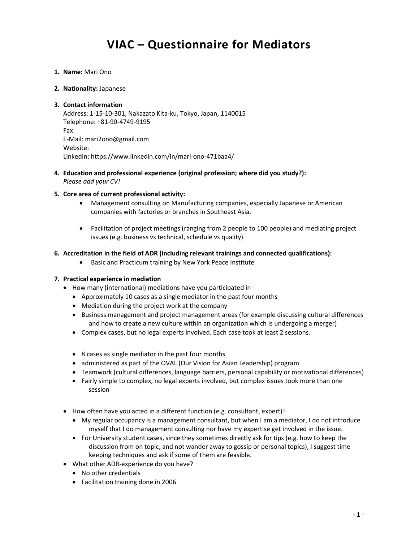# VIAC – Questionnaire for Mediators

1. Name: Mari Ono

#### 2. Nationality: Japanese

#### 3. Contact information

Address: 1-15-10-301, Nakazato Kita-ku, Tokyo, Japan, 1140015 Telephone: +81-90-4749-9195 Fax: E-Mail: mari2ono@gmail.com Website: LinkedIn: https://www.linkedin.com/in/mari-ono-471baa4/

4. Education and professional experience (original profession; where did you study?): Please add your CV!

#### 5. Core area of current professional activity:

- Management consulting on Manufacturing companies, especially Japanese or American companies with factories or branches in Southeast Asia.
- Facilitation of project meetings (ranging from 2 people to 100 people) and mediating project issues (e.g. business vs technical, schedule vs quality)

#### 6. Accreditation in the field of ADR (including relevant trainings and connected qualifications):

Basic and Practicum training by New York Peace Institute

### 7. Practical experience in mediation

- How many (international) mediations have you participated in
	- Approximately 10 cases as a single mediator in the past four months
	- Mediation during the project work at the company
	- Business management and project management areas (for example discussing cultural differences and how to create a new culture within an organization which is undergoing a merger)
	- Complex cases, but no legal experts involved. Each case took at least 2 sessions.
	- 8 cases as single mediator in the past four months
	- administered as part of the OVAL (Our Vision for Asian Leadership) program
	- Teamwork (cultural differences, language barriers, personal capability or motivational differences)
	- Fairly simple to complex, no legal experts involved, but complex issues took more than one session
- How often have you acted in a different function (e.g. consultant, expert)?
	- My regular occupancy is a management consultant, but when I am a mediator, I do not introduce myself that I do management consulting nor have my expertise get involved in the issue.
	- For University student cases, since they sometimes directly ask for tips (e.g. how to keep the discussion from on topic, and not wander away to gossip or personal topics), I suggest time keeping techniques and ask if some of them are feasible.
- What other ADR-experience do you have?
	- No other credentials
	- Facilitation training done in 2006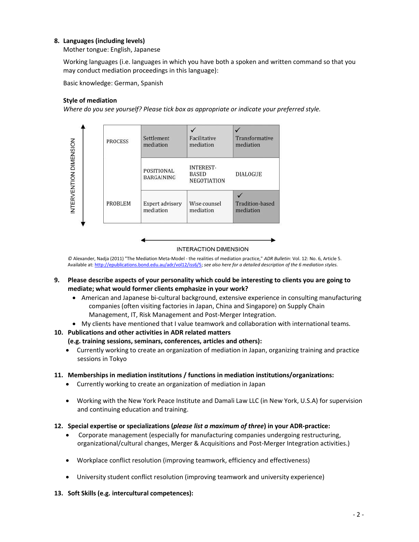# 8. Languages (including levels)

Mother tongue: English, Japanese

Working languages (i.e. languages in which you have both a spoken and written command so that you may conduct mediation proceedings in this language):

Basic knowledge: German, Spanish

### Style of mediation

Where do you see yourself? Please tick box as appropriate or indicate your preferred style.



**INTERACTION DIMENSION** 

© Alexander, Nadja (2011) "The Mediation Meta-Model - the realities of mediation practice," ADR Bulletin: Vol. 12: No. 6, Article 5. Available at: http://epublications.bond.edu.au/adr/vol12/iss6/5; see also here for a detailed description of the 6 mediation styles.

- 9. Please describe aspects of your personality which could be interesting to clients you are going to mediate; what would former clients emphasize in your work?
	- American and Japanese bi-cultural background, extensive experience in consulting manufacturing companies (often visiting factories in Japan, China and Singapore) on Supply Chain Management, IT, Risk Management and Post-Merger Integration.
	- My clients have mentioned that I value teamwork and collaboration with international teams.

#### 10. Publications and other activities in ADR related matters

#### (e.g. training sessions, seminars, conferences, articles and others):

 Currently working to create an organization of mediation in Japan, organizing training and practice sessions in Tokyo

#### 11. Memberships in mediation institutions / functions in mediation institutions/organizations:

- Currently working to create an organization of mediation in Japan
- Working with the New York Peace Institute and Damali Law LLC (in New York, U.S.A) for supervision and continuing education and training.
- 12. Special expertise or specializations (please list a maximum of three) in your ADR-practice:
	- Corporate management (especially for manufacturing companies undergoing restructuring, organizational/cultural changes, Merger & Acquisitions and Post-Merger Integration activities.)
	- Workplace conflict resolution (improving teamwork, efficiency and effectiveness)
	- University student conflict resolution (improving teamwork and university experience)
- 13. Soft Skills (e.g. intercultural competences):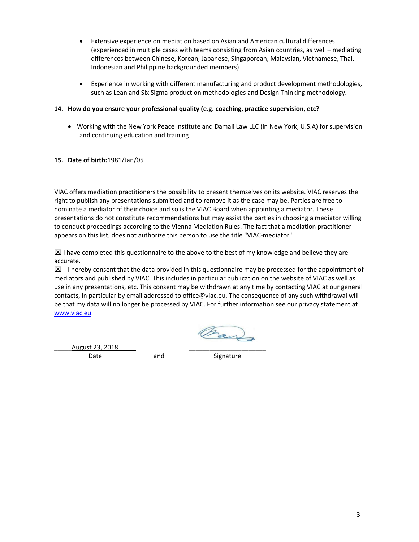- Extensive experience on mediation based on Asian and American cultural differences (experienced in multiple cases with teams consisting from Asian countries, as well – mediating differences between Chinese, Korean, Japanese, Singaporean, Malaysian, Vietnamese, Thai, Indonesian and Philippine backgrounded members)
- Experience in working with different manufacturing and product development methodologies, such as Lean and Six Sigma production methodologies and Design Thinking methodology.

# 14. How do you ensure your professional quality (e.g. coaching, practice supervision, etc?

 Working with the New York Peace Institute and Damali Law LLC (in New York, U.S.A) for supervision and continuing education and training.

# 15. Date of birth:1981/Jan/05

VIAC offers mediation practitioners the possibility to present themselves on its website. VIAC reserves the right to publish any presentations submitted and to remove it as the case may be. Parties are free to nominate a mediator of their choice and so is the VIAC Board when appointing a mediator. These presentations do not constitute recommendations but may assist the parties in choosing a mediator willing to conduct proceedings according to the Vienna Mediation Rules. The fact that a mediation practitioner appears on this list, does not authorize this person to use the title "VIAC-mediator".

 $\boxtimes$  I have completed this questionnaire to the above to the best of my knowledge and believe they are accurate.

 $\boxtimes$  I hereby consent that the data provided in this questionnaire may be processed for the appointment of mediators and published by VIAC. This includes in particular publication on the website of VIAC as well as use in any presentations, etc. This consent may be withdrawn at any time by contacting VIAC at our general contacts, in particular by email addressed to office@viac.eu. The consequence of any such withdrawal will be that my data will no longer be processed by VIAC. For further information see our privacy statement at www.viac.eu.

Oran

August 23, 2018

Date and Signature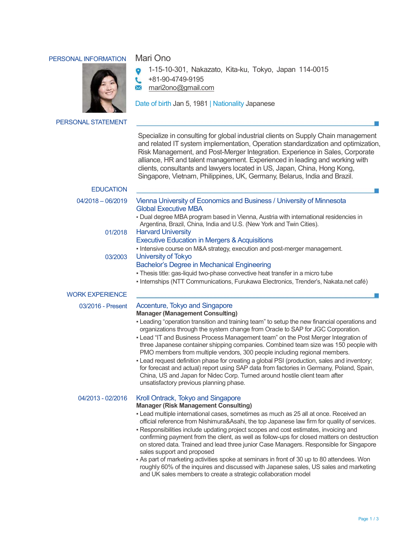## PERSONAL INFORMATION Mari Ono



1-15-10-301, Nakazato, Kita-ku, Tokyo, Japan 114-0015  $\bullet$ 

 +81-90-4749-9195 L

 $\overline{\times}$ mari2ono@gmail.com

Date of birth Jan 5, 1981 | Nationality Japanese

PERSONAL STATEMENT

Specialize in consulting for global industrial clients on Supply Chain management and related IT system implementation, Operation standardization and optimization, Risk Management, and Post-Merger Integration. Experience in Sales, Corporate alliance, HR and talent management. Experienced in leading and working with clients, consultants and lawyers located in US, Japan, China, Hong Kong, Singapore, Vietnam, Philippines, UK, Germany, Belarus, India and Brazil.

| <b>EDUCATION</b>       |                                                                                                                                                                                                                                                                                                                                                                                                                                                                                                                                                                                                                                                                                                                                                                                                                                                   |
|------------------------|---------------------------------------------------------------------------------------------------------------------------------------------------------------------------------------------------------------------------------------------------------------------------------------------------------------------------------------------------------------------------------------------------------------------------------------------------------------------------------------------------------------------------------------------------------------------------------------------------------------------------------------------------------------------------------------------------------------------------------------------------------------------------------------------------------------------------------------------------|
| $04/2018 - 06/2019$    | Vienna University of Economics and Business / University of Minnesota<br><b>Global Executive MBA</b><br>- Dual degree MBA program based in Vienna, Austria with international residencies in                                                                                                                                                                                                                                                                                                                                                                                                                                                                                                                                                                                                                                                      |
| 01/2018                | Argentina, Brazil, China, India and U.S. (New York and Twin Cities).<br><b>Harvard University</b><br><b>Executive Education in Mergers &amp; Acquisitions</b>                                                                                                                                                                                                                                                                                                                                                                                                                                                                                                                                                                                                                                                                                     |
| 03/2003                | - Intensive course on M&A strategy, execution and post-merger management.<br>University of Tokyo<br>Bachelor's Degree in Mechanical Engineering<br>- Thesis title: gas-liquid two-phase convective heat transfer in a micro tube<br>- Internships (NTT Communications, Furukawa Electronics, Trender's, Nakata.net café)                                                                                                                                                                                                                                                                                                                                                                                                                                                                                                                          |
| <b>WORK EXPERIENCE</b> |                                                                                                                                                                                                                                                                                                                                                                                                                                                                                                                                                                                                                                                                                                                                                                                                                                                   |
| 03/2016 - Present      | Accenture, Tokyo and Singapore<br><b>Manager (Management Consulting)</b><br>- Leading "operation transition and training team" to setup the new financial operations and<br>organizations through the system change from Oracle to SAP for JGC Corporation.<br>- Lead "IT and Business Process Management team" on the Post Merger Integration of<br>three Japanese container shipping companies. Combined team size was 150 people with<br>PMO members from multiple vendors, 300 people including regional members.<br>- Lead request definition phase for creating a global PSI (production, sales and inventory;<br>for forecast and actual) report using SAP data from factories in Germany, Poland, Spain,<br>China, US and Japan for Nidec Corp. Turned around hostile client team after<br>unsatisfactory previous planning phase.        |
| 04/2013 - 02/2016      | Kroll Ontrack, Tokyo and Singapore<br><b>Manager (Risk Management Consulting)</b><br>- Lead multiple international cases, sometimes as much as 25 all at once. Received an<br>official reference from Nishimura&Asahi, the top Japanese law firm for quality of services.<br>- Responsibilities include updating project scopes and cost estimates, invoicing and<br>confirming payment from the client, as well as follow-ups for closed matters on destruction<br>on stored data. Trained and lead three junior Case Managers. Responsible for Singapore<br>sales support and proposed<br>- As part of marketing activities spoke at seminars in front of 30 up to 80 attendees. Won<br>roughly 60% of the inquires and discussed with Japanese sales, US sales and marketing<br>and UK sales members to create a strategic collaboration model |

ш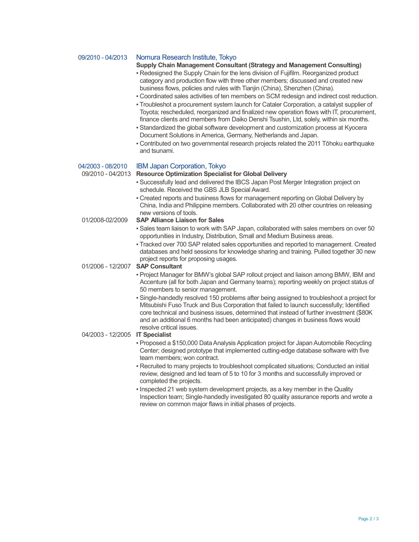| 09/2010 - 04/2013               | Nomura Research Institute, Tokyo                                                                                                                                                                                                                                                                                                                                                                   |
|---------------------------------|----------------------------------------------------------------------------------------------------------------------------------------------------------------------------------------------------------------------------------------------------------------------------------------------------------------------------------------------------------------------------------------------------|
|                                 | Supply Chain Management Consultant (Strategy and Management Consulting)<br>- Redesigned the Supply Chain for the lens division of Fujifilm. Reorganized product                                                                                                                                                                                                                                    |
|                                 | category and production flow with three other members; discussed and created new<br>business flows, policies and rules with Tianjin (China), Shenzhen (China).                                                                                                                                                                                                                                     |
|                                 | - Coordinated sales activities of ten members on SCM redesign and indirect cost reduction.                                                                                                                                                                                                                                                                                                         |
|                                 | - Troubleshot a procurement system launch for Cataler Corporation, a catalyst supplier of<br>Toyota; rescheduled, reorganized and finalized new operation flows with IT, procurement,<br>finance clients and members from Daiko Denshi Tsushin, Ltd, solely, within six months.<br>- Standardized the global software development and customization process at Kyocera                             |
|                                 | Document Solutions in America, Germany, Netherlands and Japan.                                                                                                                                                                                                                                                                                                                                     |
|                                 | - Contributed on two governmental research projects related the 2011 Tōhoku earthquake<br>and tsunami.                                                                                                                                                                                                                                                                                             |
| 04/2003 - 08/2010               | <b>IBM Japan Corporation, Tokyo</b>                                                                                                                                                                                                                                                                                                                                                                |
| 09/2010 - 04/2013               | <b>Resource Optimization Specialist for Global Delivery</b>                                                                                                                                                                                                                                                                                                                                        |
|                                 | - Successfully lead and delivered the IBCS Japan Post Merger Integration project on<br>schedule. Received the GBS JLB Special Award.                                                                                                                                                                                                                                                               |
|                                 | - Created reports and business flows for management reporting on Global Delivery by<br>China, India and Philippine members. Collaborated with 20 other countries on releasing<br>new versions of tools.                                                                                                                                                                                            |
| 01/2008-02/2009                 | <b>SAP Alliance Liaison for Sales</b>                                                                                                                                                                                                                                                                                                                                                              |
|                                 | - Sales team liaison to work with SAP Japan, collaborated with sales members on over 50<br>opportunities in Industry, Distribution, Small and Medium Business areas.                                                                                                                                                                                                                               |
|                                 | - Tracked over 700 SAP related sales opportunities and reported to management. Created<br>databases and held sessions for knowledge sharing and training. Pulled together 30 new<br>project reports for proposing usages.                                                                                                                                                                          |
| 01/2006 - 12/2007               | <b>SAP Consultant</b>                                                                                                                                                                                                                                                                                                                                                                              |
|                                 | - Project Manager for BMW's global SAP rollout project and liaison among BMW, IBM and<br>Accenture (all for both Japan and Germany teams); reporting weekly on project status of<br>50 members to senior management.                                                                                                                                                                               |
|                                 | . Single-handedly resolved 150 problems after being assigned to troubleshoot a project for<br>Mitsubishi Fuso Truck and Bus Corporation that failed to launch successfully; Identified<br>core technical and business issues, determined that instead of further investment (\$80K<br>and an additional 6 months had been anticipated) changes in business flows would<br>resolve critical issues. |
| 04/2003 - 12/2005 IT Specialist |                                                                                                                                                                                                                                                                                                                                                                                                    |
|                                 | - Proposed a \$150,000 Data Analysis Application project for Japan Automobile Recycling<br>Center; designed prototype that implemented cutting-edge database software with five<br>team members; won contract.                                                                                                                                                                                     |
|                                 | - Recruited to many projects to troubleshoot complicated situations; Conducted an initial<br>review, designed and led team of 5 to 10 for 3 months and successfully improved or<br>completed the projects.                                                                                                                                                                                         |
|                                 | . Inspected 21 web system development projects, as a key member in the Quality<br>Inspection team; Single-handedly investigated 80 quality assurance reports and wrote a<br>review on common major flaws in initial phases of projects.                                                                                                                                                            |
|                                 |                                                                                                                                                                                                                                                                                                                                                                                                    |